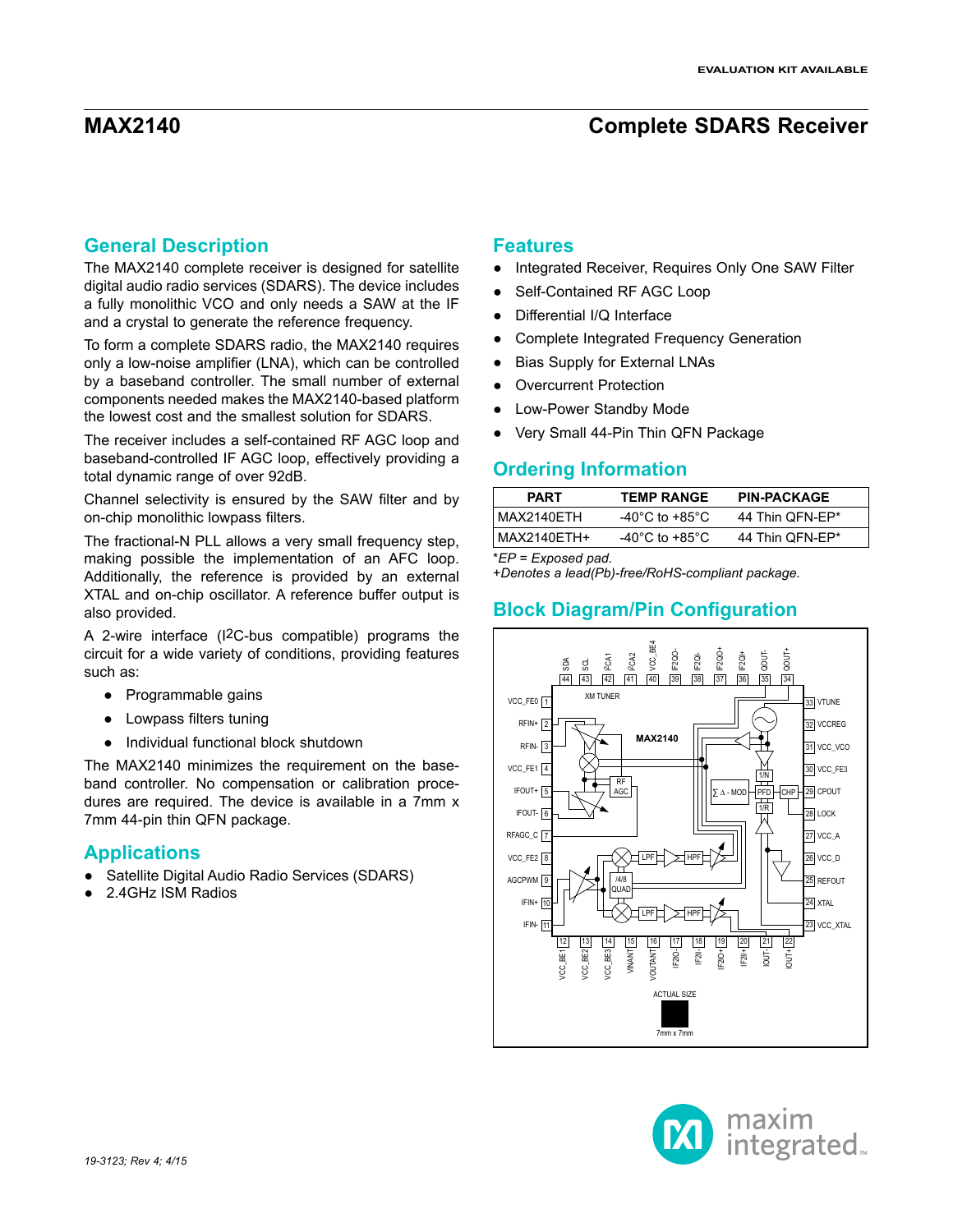## **General Description**

The MAX2140 complete receiver is designed for satellite digital audio radio services (SDARS). The device includes a fully monolithic VCO and only needs a SAW at the IF and a crystal to generate the reference frequency.

To form a complete SDARS radio, the MAX2140 requires only a low-noise amplifier (LNA), which can be controlled by a baseband controller. The small number of external components needed makes the MAX2140-based platform the lowest cost and the smallest solution for SDARS.

The receiver includes a self-contained RF AGC loop and baseband-controlled IF AGC loop, effectively providing a total dynamic range of over 92dB.

Channel selectivity is ensured by the SAW filter and by on-chip monolithic lowpass filters.

The fractional-N PLL allows a very small frequency step, making possible the implementation of an AFC loop. Additionally, the reference is provided by an external XTAL and on-chip oscillator. A reference buffer output is also provided.

A 2-wire interface (I2C-bus compatible) programs the circuit for a wide variety of conditions, providing features such as:

- Programmable gains
- Lowpass filters tuning
- Individual functional block shutdown

The MAX2140 minimizes the requirement on the baseband controller. No compensation or calibration procedures are required. The device is available in a 7mm x 7mm 44-pin thin QFN package.

### **Applications**

- Satellite Digital Audio Radio Services (SDARS)
- 2.4GHz ISM Radios

### **Features**

- Integrated Receiver, Requires Only One SAW Filter
- Self-Contained RF AGC Loop
- Differential I/Q Interface
- Complete Integrated Frequency Generation
- **Bias Supply for External LNAs**
- **Overcurrent Protection**
- **Low-Power Standby Mode**
- Very Small 44-Pin Thin QFN Package

### **Ordering Information**

| <b>PART</b> | <b>TEMP RANGE</b>                    | <b>PIN-PACKAGE</b> |
|-------------|--------------------------------------|--------------------|
| MAX2140ETH  | -40 $^{\circ}$ C to +85 $^{\circ}$ C | 44 Thin OFN-EP*    |
| MAX2140ETH+ | -40 $^{\circ}$ C to +85 $^{\circ}$ C | 44 Thin QFN-EP*    |

\**EP = Exposed pad.*

+*Denotes a lead(Pb)-free/RoHS-compliant package.*

# **Block Diagram/Pin Configuration**



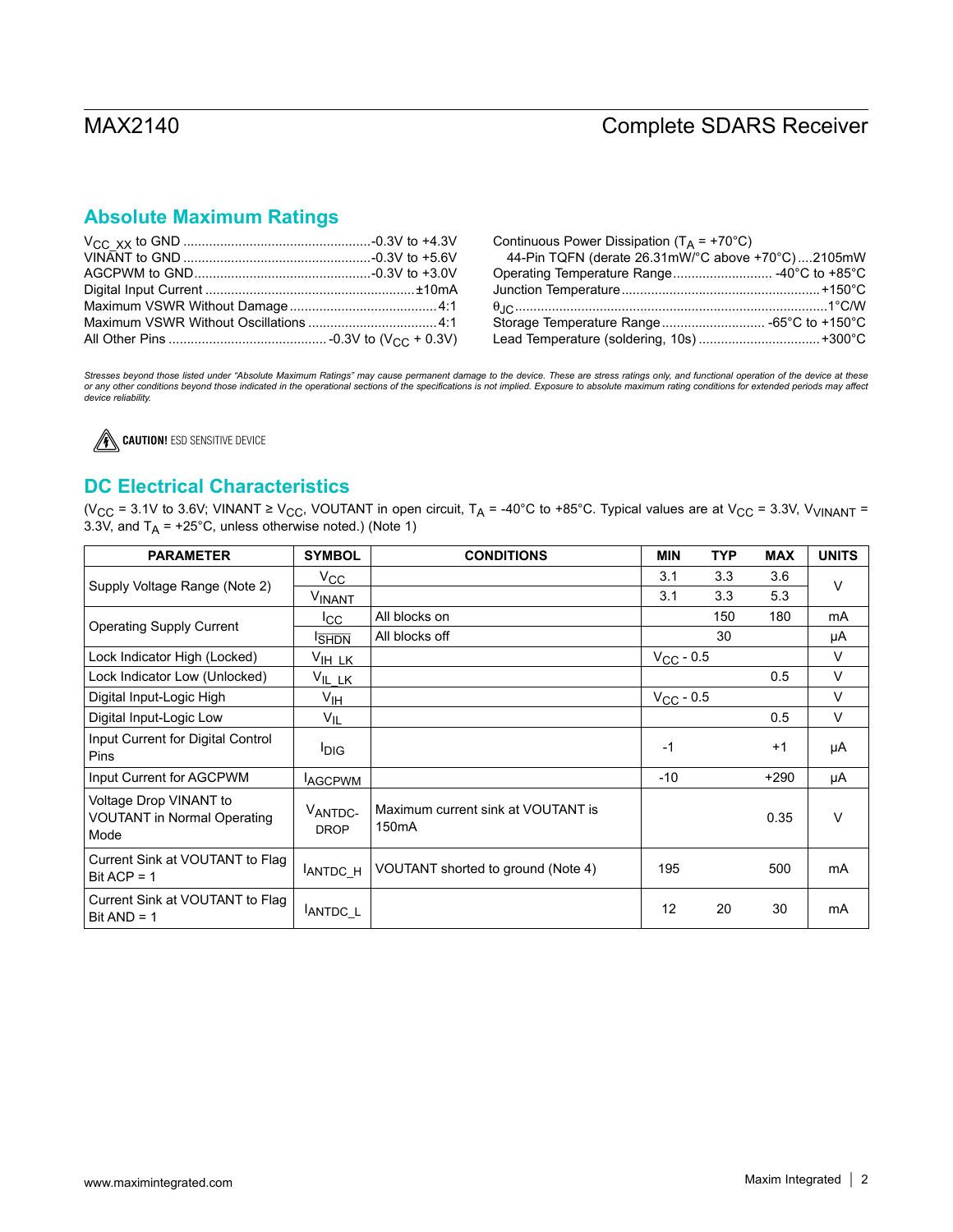# **Absolute Maximum Ratings**

| Continuous Power Dissipation ( $T_A$ = +70°C)     |  |
|---------------------------------------------------|--|
| 44-Pin TQFN (derate 26.31mW/°C above +70°C)2105mW |  |
| Operating Temperature Range -40°C to +85°C        |  |
|                                                   |  |
|                                                   |  |
| Storage Temperature Range -65°C to +150°C         |  |
| Lead Temperature (soldering, 10s) +300°C          |  |

Stresses beyond those listed under "Absolute Maximum Ratings" may cause permanent damage to the device. These are stress ratings only, and functional operation of the device at these<br>or any other conditions beyond those in *device reliability.*



# **DC Electrical Characteristics**

(V<sub>CC</sub> = 3.1V to 3.6V; VINANT ≥ V<sub>CC</sub>, VOUTANT in open circuit, T<sub>A</sub> = -40°C to +85°C. Typical values are at V<sub>CC</sub> = 3.3V, V<sub>VINANT</sub> = 3.3V, and  $T_A$  = +25°C, unless otherwise noted.) (Note 1)

| <b>PARAMETER</b>                                                     | <b>SYMBOL</b>          | <b>CONDITIONS</b>                                        | <b>MIN</b>     | <b>TYP</b> | <b>MAX</b> | <b>UNITS</b> |
|----------------------------------------------------------------------|------------------------|----------------------------------------------------------|----------------|------------|------------|--------------|
| Supply Voltage Range (Note 2)                                        | $V_{\rm CC}$           |                                                          | 3.1            | 3.3        | 3.6        | V            |
|                                                                      | VINANT                 |                                                          | 3.1            | 3.3        | 5.3        |              |
| <b>Operating Supply Current</b>                                      | <sub>ICC</sub>         | All blocks on                                            |                | 150        | 180        | mA           |
|                                                                      | <b>I</b> SHDN          | All blocks off                                           |                | 30         |            | μA           |
| Lock Indicator High (Locked)                                         | $V_{\text{IH\_LK}}$    |                                                          | $V_{CC}$ - 0.5 |            |            | $\vee$       |
| Lock Indicator Low (Unlocked)                                        | $V_{IL_LK}$            |                                                          |                |            | 0.5        | $\vee$       |
| Digital Input-Logic High                                             | $V_{\text{IH}}$        |                                                          | $V_{CC}$ - 0.5 |            |            | $\vee$       |
| Digital Input-Logic Low                                              | $V_{IL}$               |                                                          |                |            | 0.5        | V            |
| Input Current for Digital Control<br>Pins                            | <b>DIG</b>             |                                                          | $-1$           |            | $+1$       | μA           |
| Input Current for AGCPWM                                             | <b>AGCPWM</b>          |                                                          | $-10$          |            | $+290$     | μA           |
| Voltage Drop VINANT to<br><b>VOUTANT in Normal Operating</b><br>Mode | VANTDC-<br><b>DROP</b> | Maximum current sink at VOUTANT is<br>150 <sub>m</sub> A |                |            | 0.35       | V            |
| Current Sink at VOUTANT to Flag<br>Bit ACP = $1$                     | ANTDC H                | VOUTANT shorted to ground (Note 4)                       | 195            |            | 500        | <b>mA</b>    |
| Current Sink at VOUTANT to Flag<br>Bit $AND = 1$                     | ANTDC L                |                                                          | 12             | 20         | 30         | mA           |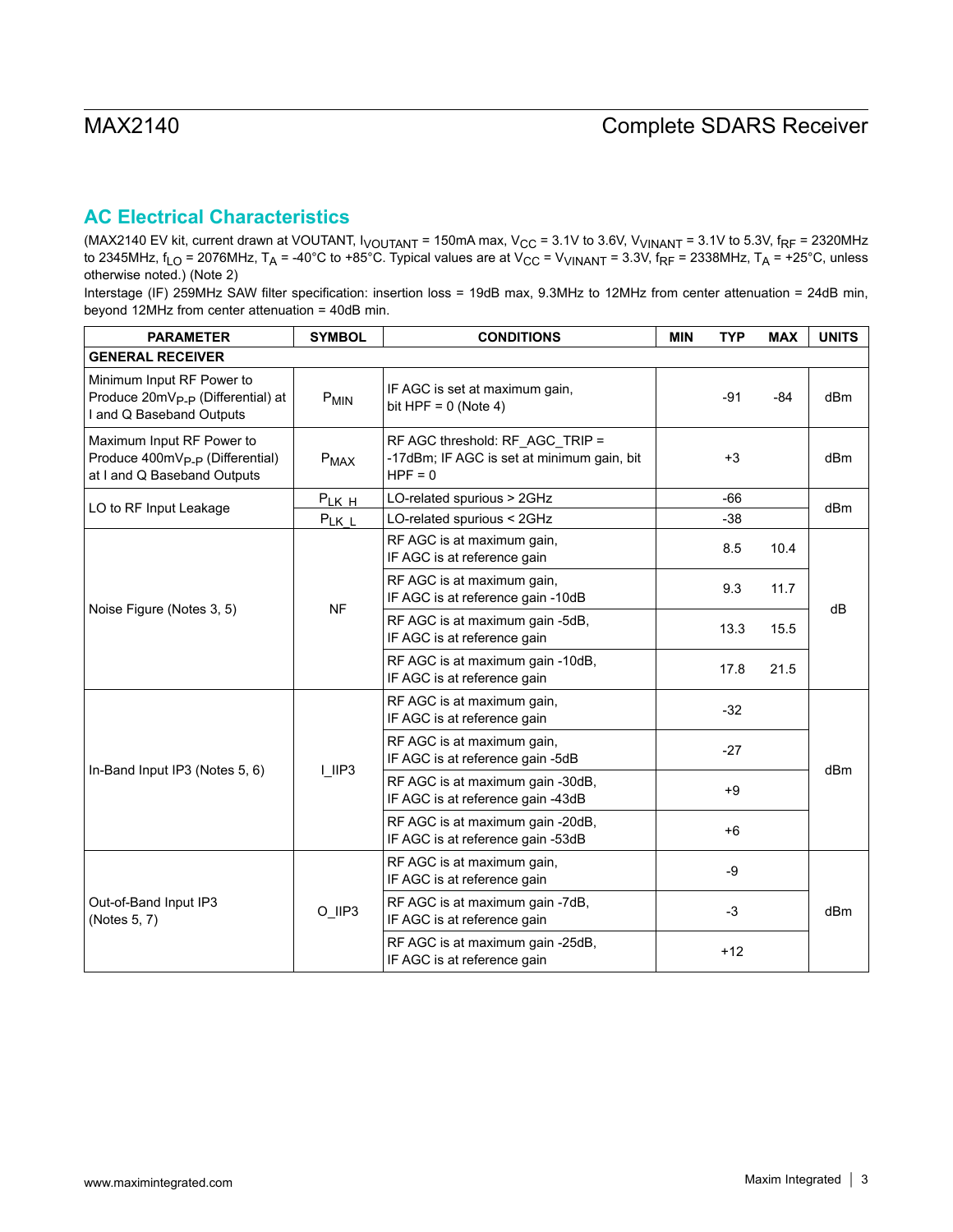# **AC Electrical Characteristics**

(MAX2140 EV kit, current drawn at VOUTANT, I<sub>VOUTANT</sub> = 150mA max, V<sub>CC</sub> = 3.1V to 3.6V, V<sub>VINANT</sub> = 3.1V to 5.3V, f<sub>RF</sub> = 2320MHz to 2345MHz, f<sub>LO</sub> = 2076MHz, T<sub>A</sub> = -40°C to +85°C. Typical values are at V<sub>CC</sub> = V<sub>VINANT</sub> = 3.3V, f<sub>RF</sub> = 2338MHz, T<sub>A</sub> = +25°C, unless otherwise noted.) (Note 2)

Interstage (IF) 259MHz SAW filter specification: insertion loss = 19dB max, 9.3MHz to 12MHz from center attenuation = 24dB min, beyond 12MHz from center attenuation = 40dB min.

| <b>PARAMETER</b>                                                                                        | <b>SYMBOL</b>    | <b>CONDITIONS</b>                                                                          | <b>MIN</b> | <b>TYP</b> | <b>MAX</b> | <b>UNITS</b> |  |
|---------------------------------------------------------------------------------------------------------|------------------|--------------------------------------------------------------------------------------------|------------|------------|------------|--------------|--|
| <b>GENERAL RECEIVER</b>                                                                                 |                  |                                                                                            |            |            |            |              |  |
| Minimum Input RF Power to<br>Produce 20mV <sub>P-P</sub> (Differential) at<br>I and Q Baseband Outputs  | P <sub>MIN</sub> | IF AGC is set at maximum gain,<br>bit HPF = $0$ (Note 4)                                   |            | $-91$      | -84        | dBm          |  |
| Maximum Input RF Power to<br>Produce 400mV <sub>P-P</sub> (Differential)<br>at I and Q Baseband Outputs | $P_{MAX}$        | RF AGC threshold: RF_AGC_TRIP =<br>-17dBm; IF AGC is set at minimum gain, bit<br>$HPF = 0$ |            | $+3$       |            | dBm          |  |
| LO to RF Input Leakage                                                                                  | $P_{LKH}$        | LO-related spurious > 2GHz                                                                 |            | $-66$      |            | dBm          |  |
|                                                                                                         | $P_{LKL}$        | LO-related spurious < 2GHz                                                                 |            | $-38$      |            |              |  |
| Noise Figure (Notes 3, 5)                                                                               |                  | RF AGC is at maximum gain,<br>IF AGC is at reference gain                                  |            | 8.5        | 10.4       |              |  |
|                                                                                                         | <b>NF</b>        | RF AGC is at maximum gain,<br>IF AGC is at reference gain -10dB                            | 9.3        |            | 11.7       | dB           |  |
|                                                                                                         |                  | RF AGC is at maximum gain -5dB,<br>IF AGC is at reference gain                             |            | 13.3       | 15.5       |              |  |
|                                                                                                         |                  | RF AGC is at maximum gain -10dB,<br>IF AGC is at reference gain                            |            | 17.8       | 21.5       |              |  |
|                                                                                                         |                  | RF AGC is at maximum gain,<br>IF AGC is at reference gain                                  |            | $-32$      |            |              |  |
|                                                                                                         |                  | RF AGC is at maximum gain,<br>IF AGC is at reference gain -5dB                             |            | $-27$      |            |              |  |
| In-Band Input IP3 (Notes 5, 6)                                                                          | $ $ IIP3         | RF AGC is at maximum gain -30dB,<br>IF AGC is at reference gain -43dB                      | $+9$       |            |            | dBm          |  |
|                                                                                                         |                  | RF AGC is at maximum gain -20dB,<br>IF AGC is at reference gain -53dB                      |            | $+6$       |            |              |  |
|                                                                                                         |                  | RF AGC is at maximum gain,<br>IF AGC is at reference gain                                  |            | -9         |            |              |  |
| Out-of-Band Input IP3<br>(Notes 5, 7)                                                                   | O_IIP3           | RF AGC is at maximum gain -7dB,<br>IF AGC is at reference gain                             | $-3$       |            |            | dBm          |  |
|                                                                                                         |                  | RF AGC is at maximum gain -25dB,<br>IF AGC is at reference gain                            |            | $+12$      |            |              |  |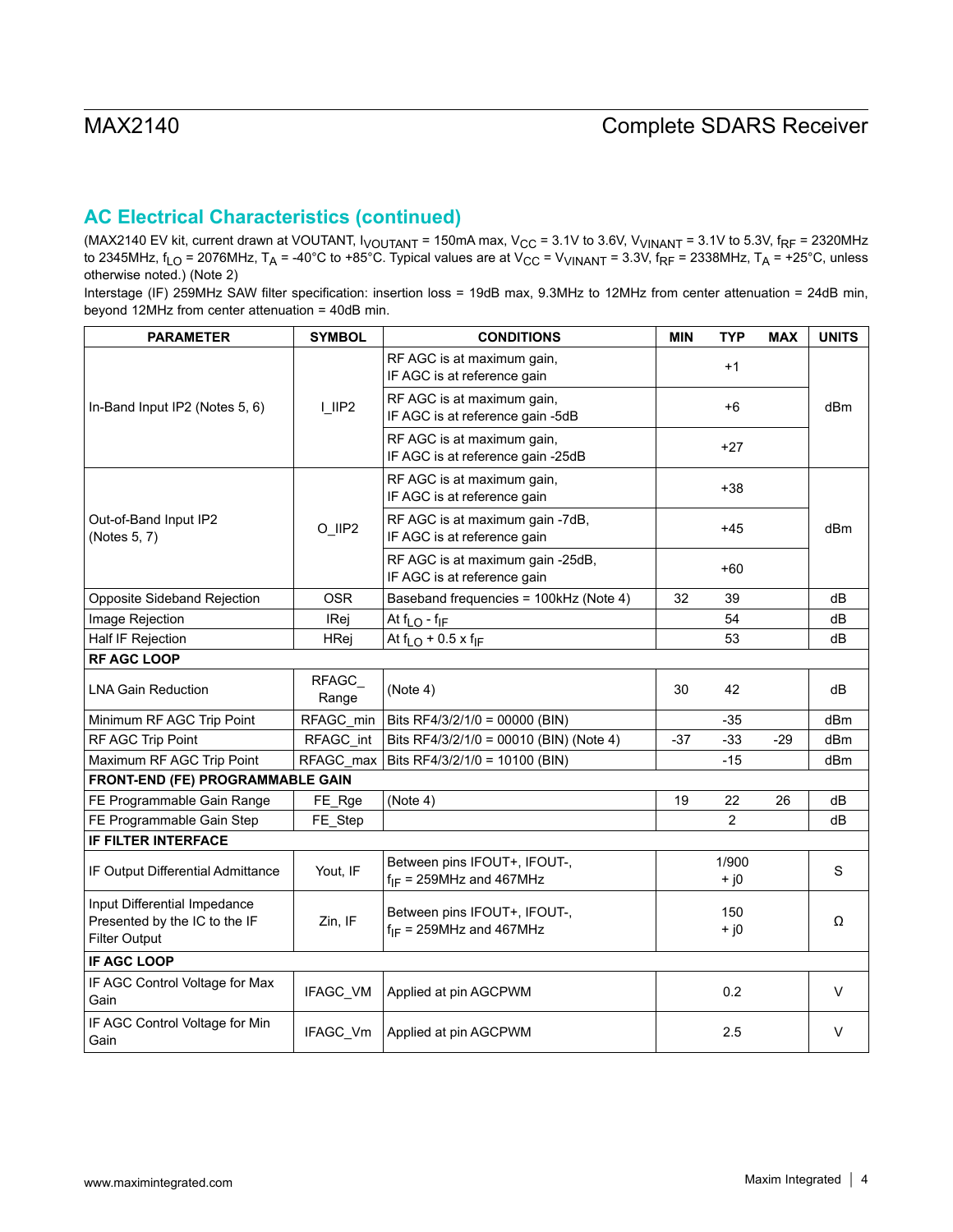# **AC Electrical Characteristics (continued)**

(MAX2140 EV kit, current drawn at VOUTANT, I<sub>VOUTANT</sub> = 150mA max, V<sub>CC</sub> = 3.1V to 3.6V, V<sub>VINANT</sub> = 3.1V to 5.3V, f<sub>RF</sub> = 2320MHz to 2345MHz, f<sub>LO</sub> = 2076MHz, T<sub>A</sub> = -40°C to +85°C. Typical values are at V<sub>CC</sub> = V<sub>VINANT</sub> = 3.3V, f<sub>RF</sub> = 2338MHz, T<sub>A</sub> = +25°C, unless otherwise noted.) (Note 2)

Interstage (IF) 259MHz SAW filter specification: insertion loss = 19dB max, 9.3MHz to 12MHz from center attenuation = 24dB min, beyond 12MHz from center attenuation = 40dB min.

| <b>PARAMETER</b>                                                                      | <b>SYMBOL</b>  | <b>CONDITIONS</b>                                               | <b>MIN</b>    | <b>TYP</b>      | <b>MAX</b> | <b>UNITS</b> |
|---------------------------------------------------------------------------------------|----------------|-----------------------------------------------------------------|---------------|-----------------|------------|--------------|
|                                                                                       |                | RF AGC is at maximum gain,<br>IF AGC is at reference gain       |               | $+1$            |            |              |
| In-Band Input IP2 (Notes 5, 6)                                                        | $L$ IIP2       | RF AGC is at maximum gain,<br>IF AGC is at reference gain -5dB  |               | $+6$            |            | dBm          |
|                                                                                       |                | RF AGC is at maximum gain,<br>IF AGC is at reference gain -25dB |               | $+27$           |            |              |
|                                                                                       |                | RF AGC is at maximum gain,<br>IF AGC is at reference gain       |               | $+38$           |            |              |
| Out-of-Band Input IP2<br>(Notes 5, 7)                                                 | O_IIP2         | RF AGC is at maximum gain -7dB,<br>IF AGC is at reference gain  |               | $+45$           |            | dBm          |
|                                                                                       |                | RF AGC is at maximum gain -25dB,<br>IF AGC is at reference gain |               | +60             |            |              |
| Opposite Sideband Rejection                                                           | <b>OSR</b>     | Baseband frequencies = 100kHz (Note 4)                          | 32            | 39              |            | dB           |
| Image Rejection                                                                       | IRej           | At $f_{LO}$ - $f_{IF}$                                          |               | 54              |            | dB           |
| Half IF Rejection                                                                     | HRej           | At $f_{LO}$ + 0.5 x $f_{IF}$                                    |               | 53              |            | dB           |
| <b>RF AGC LOOP</b>                                                                    |                |                                                                 |               |                 |            |              |
| <b>LNA Gain Reduction</b>                                                             | RFAGC<br>Range | (Note 4)                                                        | 30            | 42              |            | dB           |
| Minimum RF AGC Trip Point                                                             | RFAGC_min      | Bits RF4/3/2/1/0 = 00000 (BIN)                                  |               | $-35$           |            | dBm          |
| RF AGC Trip Point                                                                     | RFAGC_int      | Bits RF4/3/2/1/0 = 00010 (BIN) (Note 4)                         | $-37$         | $-33$           | $-29$      | dBm          |
| Maximum RF AGC Trip Point                                                             | RFAGC_max      | Bits RF4/3/2/1/0 = 10100 (BIN)                                  |               | $-15$           |            | dBm          |
| FRONT-END (FE) PROGRAMMABLE GAIN                                                      |                |                                                                 |               |                 |            |              |
| FE Programmable Gain Range                                                            | FE_Rge         | (Note 4)                                                        | 19            | 22              | 26         | dB           |
| FE Programmable Gain Step                                                             | FE_Step        |                                                                 |               | $\overline{2}$  |            | dB           |
| <b>IF FILTER INTERFACE</b>                                                            |                |                                                                 |               |                 |            |              |
| IF Output Differential Admittance                                                     | Yout, IF       | Between pins IFOUT+, IFOUT-,<br>$f_{IF}$ = 259MHz and 467MHz    |               | 1/900<br>$+$ j0 |            | S            |
| Input Differential Impedance<br>Presented by the IC to the IF<br><b>Filter Output</b> | Zin, IF        | Between pins IFOUT+, IFOUT-,<br>$f_{IF}$ = 259MHz and 467MHz    | 150<br>$+ j0$ |                 | Ω          |              |
| IF AGC LOOP                                                                           |                |                                                                 |               |                 |            |              |
| IF AGC Control Voltage for Max<br>Gain                                                | IFAGC_VM       | Applied at pin AGCPWM                                           |               | 0.2             |            | V            |
| IF AGC Control Voltage for Min<br>Gain                                                | IFAGC_Vm       | Applied at pin AGCPWM                                           |               | 2.5             |            | V            |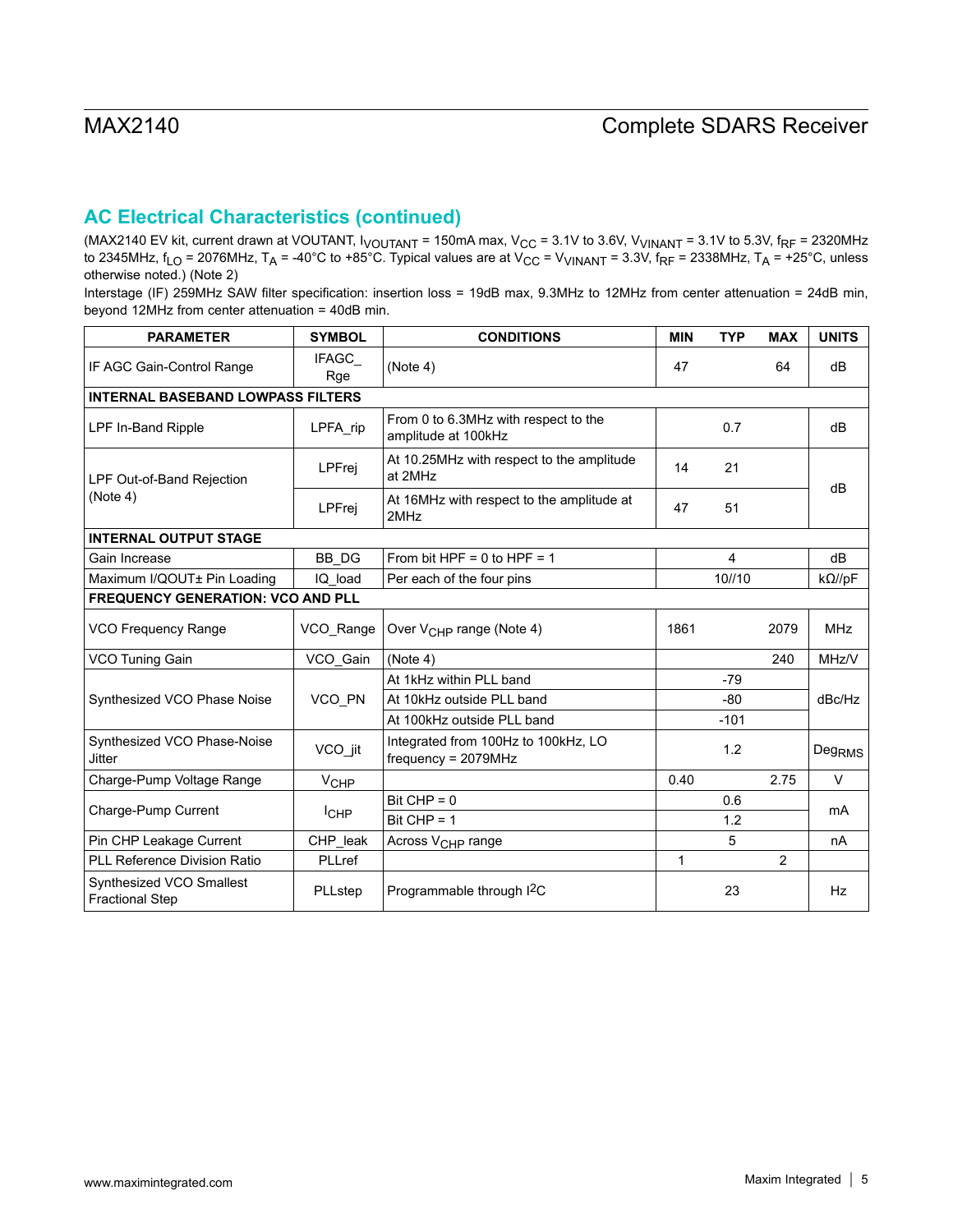# **AC Electrical Characteristics (continued)**

(MAX2140 EV kit, current drawn at VOUTANT, I<sub>VOUTANT</sub> = 150mA max, V<sub>CC</sub> = 3.1V to 3.6V, V<sub>VINANT</sub> = 3.1V to 5.3V, f<sub>RF</sub> = 2320MHz to 2345MHz, f<sub>LO</sub> = 2076MHz, T<sub>A</sub> = -40°C to +85°C. Typical values are at V<sub>CC</sub> = V<sub>VINANT</sub> = 3.3V, f<sub>RF</sub> = 2338MHz, T<sub>A</sub> = +25°C, unless otherwise noted.) (Note 2)

Interstage (IF) 259MHz SAW filter specification: insertion loss = 19dB max, 9.3MHz to 12MHz from center attenuation = 24dB min, beyond 12MHz from center attenuation = 40dB min.

| <b>PARAMETER</b>                                   | <b>SYMBOL</b>          | <b>CONDITIONS</b>                                            | <b>MIN</b> | <b>TYP</b>     | <b>MAX</b> | <b>UNITS</b>       |
|----------------------------------------------------|------------------------|--------------------------------------------------------------|------------|----------------|------------|--------------------|
| IF AGC Gain-Control Range                          | IFAGC_<br>Rge          | (Note 4)                                                     | 47         |                | 64         | dB                 |
| <b>INTERNAL BASEBAND LOWPASS FILTERS</b>           |                        |                                                              |            |                |            |                    |
| LPF In-Band Ripple                                 | LPFA_rip               | From 0 to 6.3MHz with respect to the<br>amplitude at 100kHz  |            | 0.7            |            | dB                 |
| LPF Out-of-Band Rejection<br>(Note 4)              | LPFrej                 | At 10.25MHz with respect to the amplitude<br>at 2MHz         | 14         | 21             |            | dB                 |
|                                                    | LPFrei                 | At 16MHz with respect to the amplitude at<br>2MHz            | 47         | 51             |            |                    |
| <b>INTERNAL OUTPUT STAGE</b>                       |                        |                                                              |            |                |            |                    |
| Gain Increase                                      | BB_DG                  | From bit HPF = $0$ to HPF = $1$                              |            | $\overline{4}$ |            | dB                 |
| Maximum I/QOUT± Pin Loading                        | IQ load                | Per each of the four pins                                    |            | 10//10         |            | $k\Omega$ //pF     |
| <b>FREQUENCY GENERATION: VCO AND PLL</b>           |                        |                                                              |            |                |            |                    |
| VCO Frequency Range                                | VCO_Range              | Over V <sub>CHP</sub> range (Note 4)                         | 1861       |                | 2079       | <b>MHz</b>         |
| VCO Tuning Gain                                    | VCO_Gain               | (Note 4)                                                     |            |                | 240        | MHz/V              |
|                                                    |                        | At 1kHz within PLL band                                      |            | $-79$          |            |                    |
| Synthesized VCO Phase Noise                        | VCO PN                 | At 10kHz outside PLL band                                    |            | $-80$          |            | dBc/Hz             |
|                                                    |                        | At 100kHz outside PLL band                                   |            | $-101$         |            |                    |
| Synthesized VCO Phase-Noise<br><b>Jitter</b>       | VCO_jit                | Integrated from 100Hz to 100kHz, LO<br>$frequency = 2079MHz$ |            | 1.2            |            | Deg <sub>RMS</sub> |
| Charge-Pump Voltage Range                          | <b>V<sub>CHP</sub></b> |                                                              | 0.40       |                | 2.75       | $\vee$             |
|                                                    |                        | $Bit CHP = 0$                                                |            | 0.6            |            | mA                 |
| Charge-Pump Current                                | $I_{CHP}$              | Bit $CHP = 1$                                                | 1.2        |                |            |                    |
| Pin CHP Leakage Current                            | CHP_leak               | Across V <sub>CHP</sub> range                                |            | 5              |            | nA                 |
| <b>PLL Reference Division Ratio</b>                | PLLref                 |                                                              | 1          |                | 2          |                    |
| Synthesized VCO Smallest<br><b>Fractional Step</b> | PLLstep                | Programmable through I <sup>2</sup> C                        |            | 23             |            | Hz                 |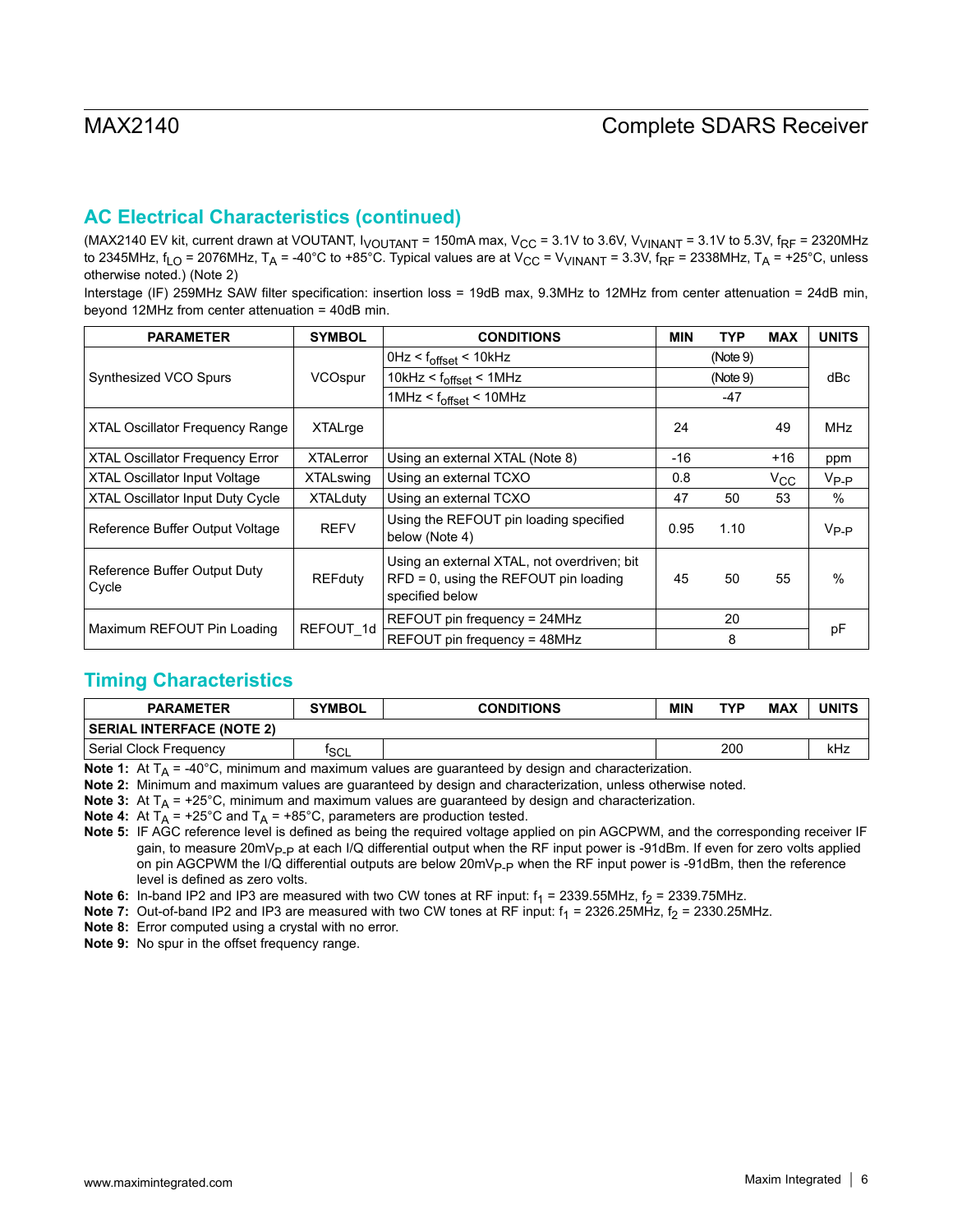# **AC Electrical Characteristics (continued)**

(MAX2140 EV kit, current drawn at VOUTANT,  $I_{VOUTANT}$  = 150mA max,  $V_{CC}$  = 3.1V to 3.6V,  $V_{VINANT}$  = 3.1V to 5.3V,  $f_{RF}$  = 2320MHz to 2345MHz,  $f_{LO}$  = 2076MHz,  $T_A$  = -40°C to +85°C. Typical values are at  $V_{CC}$  =  $V_{VINANT}$  = 3.3V,  $f_{RF}$  = 2338MHz,  $T_A$  = +25°C, unless otherwise noted.) (Note 2)

Interstage (IF) 259MHz SAW filter specification: insertion loss = 19dB max, 9.3MHz to 12MHz from center attenuation = 24dB min, beyond 12MHz from center attenuation = 40dB min.

| <b>PARAMETER</b>                        | <b>SYMBOL</b>    | <b>CONDITIONS</b>                                                                                          | <b>MIN</b> | <b>TYP</b> | <b>MAX</b>   | <b>UNITS</b> |
|-----------------------------------------|------------------|------------------------------------------------------------------------------------------------------------|------------|------------|--------------|--------------|
|                                         |                  | $0$ Hz < $f_{offset}$ < 10kHz                                                                              | (Note 9)   |            |              |              |
| Synthesized VCO Spurs                   | VCOspur          | 10kHz < $f_{offset}$ < 1MHz                                                                                |            | (Note 9)   |              | dBc          |
|                                         |                  | 1MHz < f <sub>offset</sub> < 10MHz                                                                         |            | -47        |              |              |
| <b>XTAL Oscillator Frequency Range</b>  | XTALrge          |                                                                                                            | 24         |            | 49           | <b>MHz</b>   |
| <b>XTAL Oscillator Frequency Error</b>  | <b>XTALerror</b> | Using an external XTAL (Note 8)                                                                            | $-16$      |            | $+16$        | ppm          |
| <b>XTAL Oscillator Input Voltage</b>    | <b>XTALswing</b> | Using an external TCXO                                                                                     | 0.8        |            | $V_{\rm CC}$ | $V_{P-P}$    |
| <b>XTAL Oscillator Input Duty Cycle</b> | <b>XTALduty</b>  | Using an external TCXO                                                                                     | 47         | 50         | 53           | $\%$         |
| Reference Buffer Output Voltage         | <b>REFV</b>      | Using the REFOUT pin loading specified<br>below (Note 4)                                                   | 0.95       | 1.10       |              | $V_{P-P}$    |
| Reference Buffer Output Duty<br>Cycle   | <b>REFduty</b>   | Using an external XTAL, not overdriven; bit<br>$RFD = 0$ , using the REFOUT pin loading<br>specified below | 45         | 50         | 55           | $\%$         |
|                                         | REFOUT 1d        | REFOUT pin frequency = 24MHz                                                                               |            | 20         |              |              |
| Maximum REFOUT Pin Loading              |                  | REFOUT pin frequency = 48MHz                                                                               | 8          |            | pF           |              |

# **Timing Characteristics**

| <b>PARAMETER</b>                 | <b>SYMBOL</b>    | <b>CONDITIONS</b> | <b>MIN</b> | <b>TYP</b> | <b>MAX</b> | UNITS |
|----------------------------------|------------------|-------------------|------------|------------|------------|-------|
| <b>SERIAL INTERFACE (NOTE 2)</b> |                  |                   |            |            |            |       |
| Serial Clock Frequency           | <sup>T</sup> SCL |                   |            | 200        |            | kHz   |

**Note 1:** At T<sub>A</sub> = -40°C, minimum and maximum values are guaranteed by design and characterization.

**Note 2:** Minimum and maximum values are guaranteed by design and characterization, unless otherwise noted.

**Note 3:** At  $T_A$  = +25°C, minimum and maximum values are guaranteed by design and characterization.

**Note 4:** At  $T_A$  = +25°C and  $T_A$  = +85°C, parameters are production tested.

**Note 5:** IF AGC reference level is defined as being the required voltage applied on pin AGCPWM, and the corresponding receiver IF gain, to measure 20mV<sub>P-P</sub> at each I/Q differential output when the RF input power is -91dBm. If even for zero volts applied on pin AGCPWM the I/Q differential outputs are below 20mV<sub>P-P</sub> when the RF input power is -91dBm, then the reference level is defined as zero volts.

**Note 6:** In-band IP2 and IP3 are measured with two CW tones at RF input:  $f_1 = 2339.55M$ Hz,  $f_2 = 2339.75M$ Hz.

**Note 7:** Out-of-band IP2 and IP3 are measured with two CW tones at RF input: f<sub>1</sub> = 2326.25MHz, f<sub>2</sub> = 2330.25MHz.

**Note 8:** Error computed using a crystal with no error.

**Note 9:** No spur in the offset frequency range.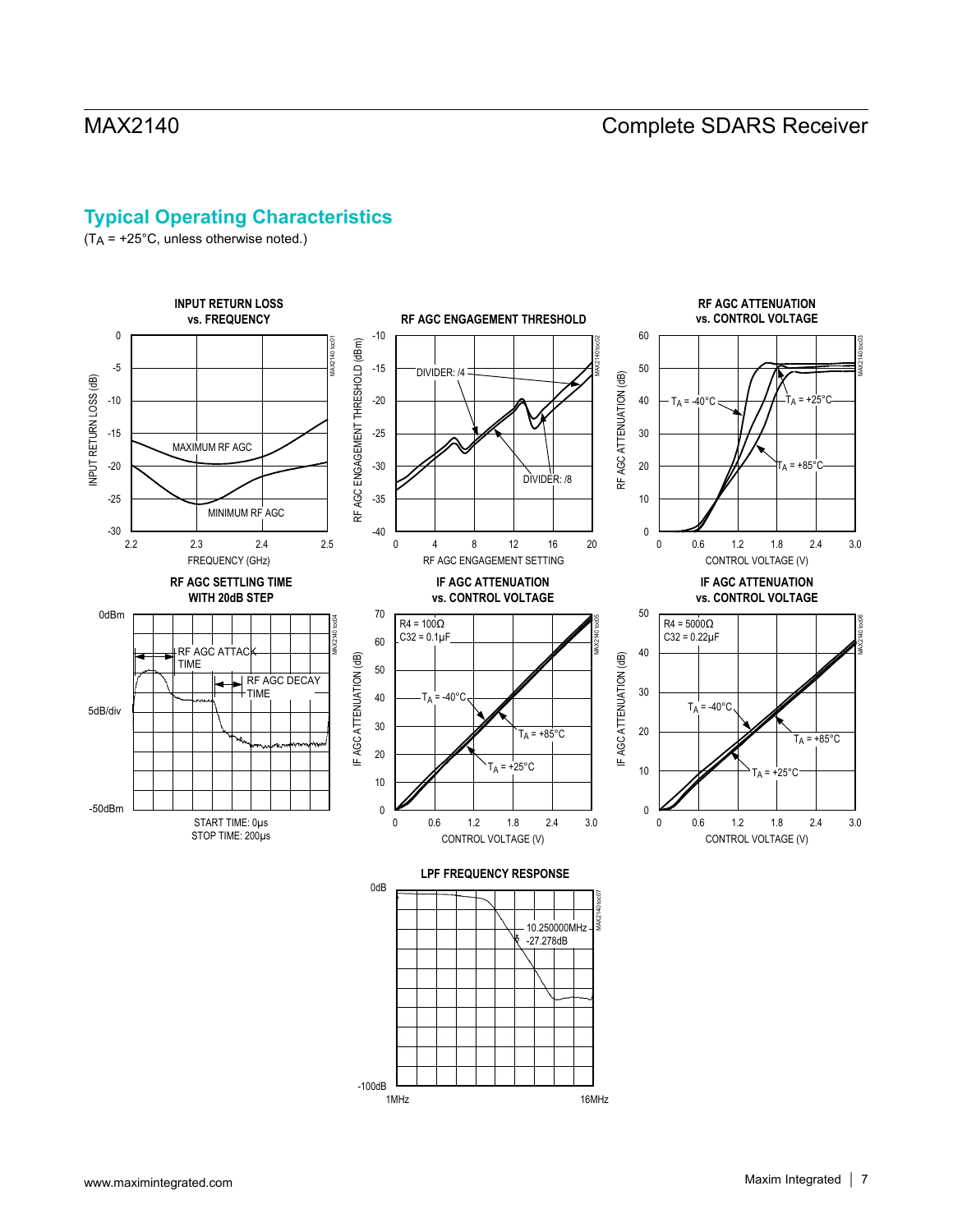# **Typical Operating Characteristics**

(TA = +25°C, unless otherwise noted.)

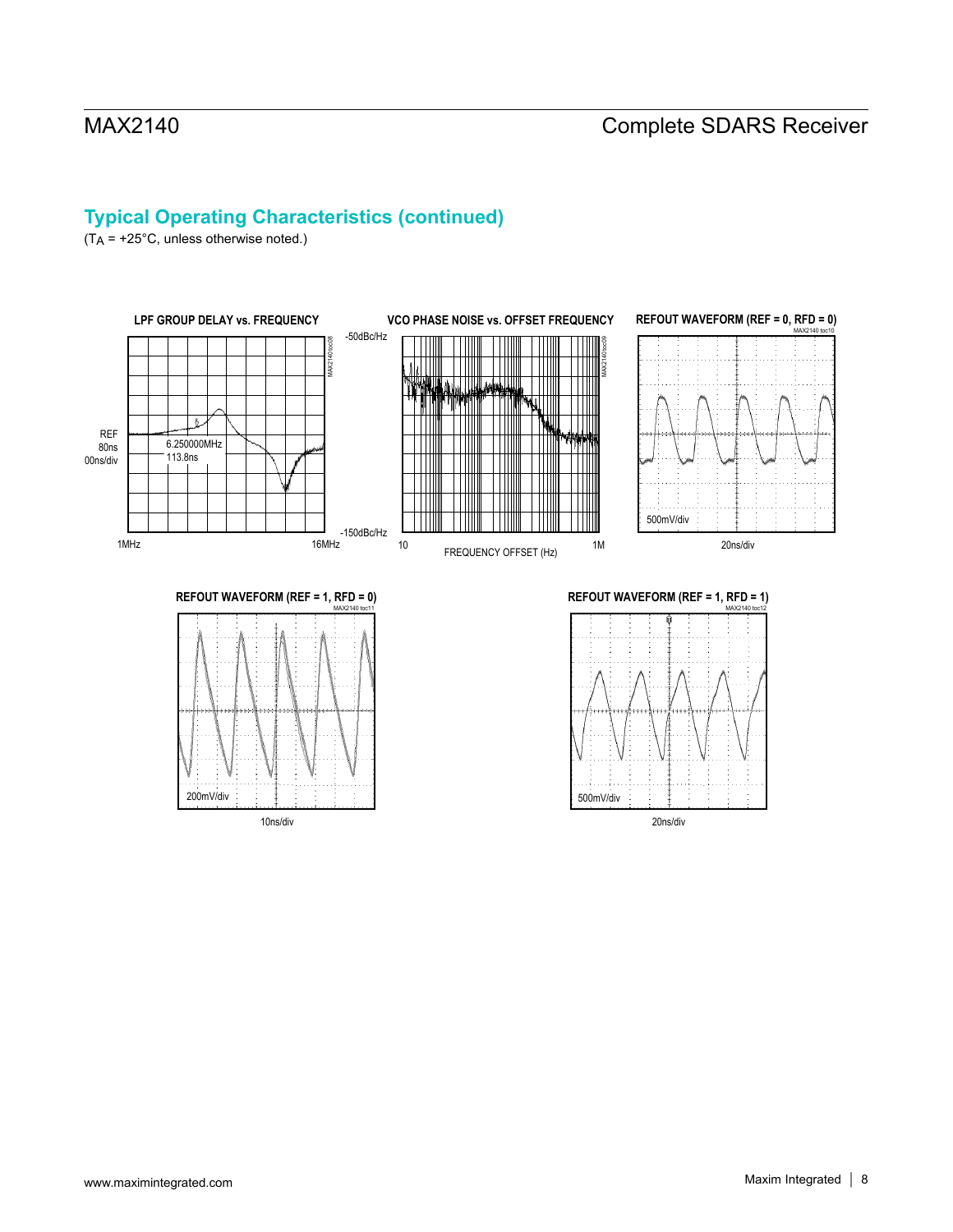# **Typical Operating Characteristics (continued)**

(TA = +25°C, unless otherwise noted.)





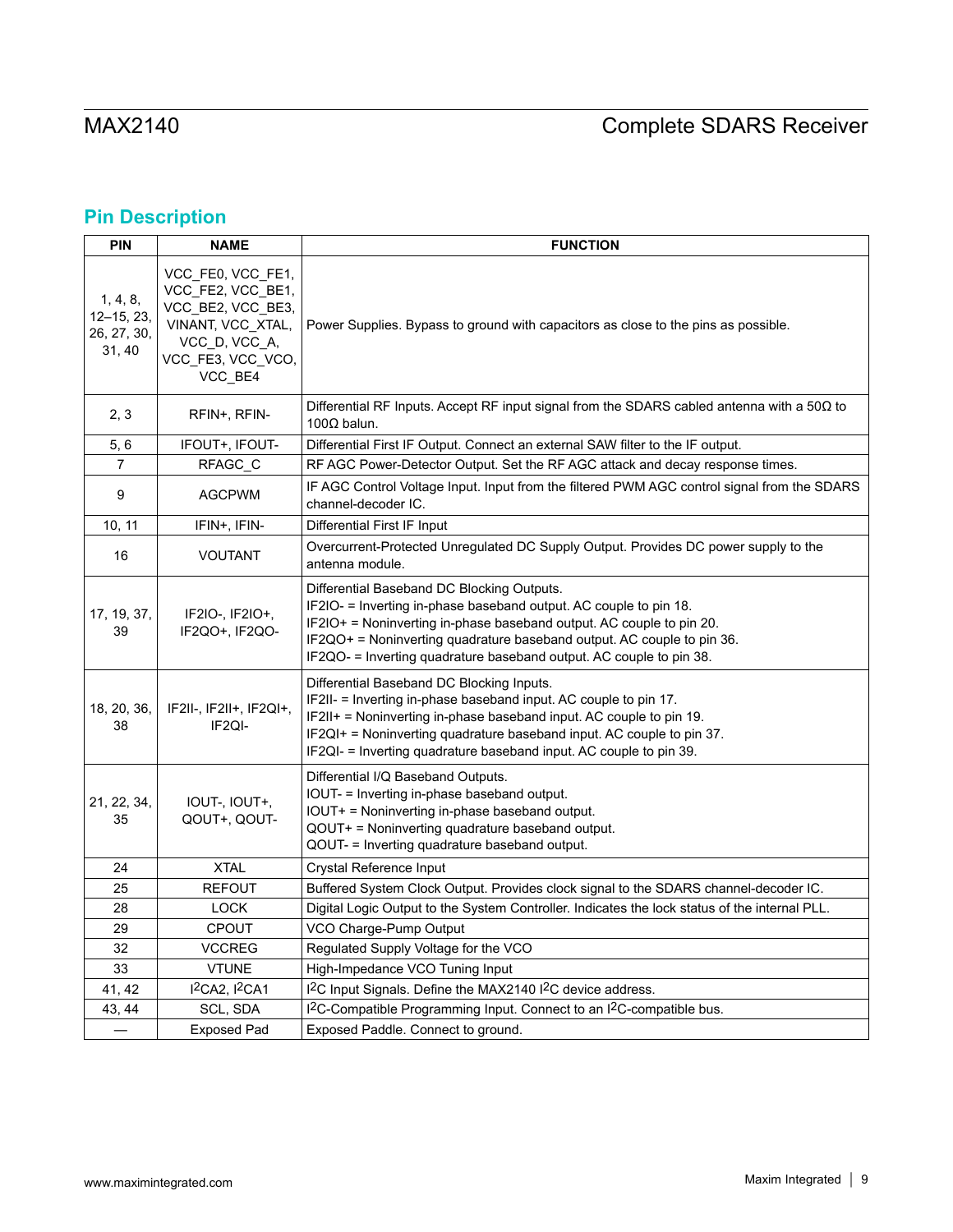# **Pin Description**

| <b>PIN</b>                                          | <b>NAME</b><br><b>FUNCTION</b>                                                                                                    |                                                                                                                                                                                                                                                                                                                                          |  |  |  |  |  |
|-----------------------------------------------------|-----------------------------------------------------------------------------------------------------------------------------------|------------------------------------------------------------------------------------------------------------------------------------------------------------------------------------------------------------------------------------------------------------------------------------------------------------------------------------------|--|--|--|--|--|
| 1, 4, 8,<br>$12 - 15, 23,$<br>26, 27, 30,<br>31, 40 | VCC FE0, VCC FE1,<br>VCC_FE2, VCC_BE1,<br>VCC_BE2, VCC_BE3,<br>VINANT, VCC_XTAL,<br>VCC_D, VCC_A,<br>VCC_FE3, VCC_VCO,<br>VCC_BE4 | Power Supplies. Bypass to ground with capacitors as close to the pins as possible.                                                                                                                                                                                                                                                       |  |  |  |  |  |
| 2, 3                                                | RFIN+, RFIN-                                                                                                                      | Differential RF Inputs. Accept RF input signal from the SDARS cabled antenna with a 50 $\Omega$ to<br>$100\Omega$ balun.                                                                                                                                                                                                                 |  |  |  |  |  |
| 5,6                                                 | IFOUT+, IFOUT-                                                                                                                    | Differential First IF Output. Connect an external SAW filter to the IF output.                                                                                                                                                                                                                                                           |  |  |  |  |  |
| 7                                                   | RFAGC_C                                                                                                                           | RF AGC Power-Detector Output. Set the RF AGC attack and decay response times.                                                                                                                                                                                                                                                            |  |  |  |  |  |
| 9                                                   | <b>AGCPWM</b>                                                                                                                     | IF AGC Control Voltage Input. Input from the filtered PWM AGC control signal from the SDARS<br>channel-decoder IC.                                                                                                                                                                                                                       |  |  |  |  |  |
| 10, 11                                              | IFIN+, IFIN-                                                                                                                      | Differential First IF Input                                                                                                                                                                                                                                                                                                              |  |  |  |  |  |
| 16                                                  | <b>VOUTANT</b>                                                                                                                    | Overcurrent-Protected Unregulated DC Supply Output. Provides DC power supply to the<br>antenna module.                                                                                                                                                                                                                                   |  |  |  |  |  |
| 17, 19, 37,<br>39                                   | IF2IO-, IF2IO+,<br>IF2QO+, IF2QO-                                                                                                 | Differential Baseband DC Blocking Outputs.<br>IF2IO- = Inverting in-phase baseband output. AC couple to pin 18.<br>IF2IO+ = Noninverting in-phase baseband output. AC couple to pin 20.<br>IF2QO+ = Noninverting quadrature baseband output. AC couple to pin 36.<br>IF2QO- = Inverting quadrature baseband output. AC couple to pin 38. |  |  |  |  |  |
| 18, 20, 36,<br>38                                   | IF2II-, IF2II+, IF2QI+,<br>IF2QI-                                                                                                 | Differential Baseband DC Blocking Inputs.<br>IF2II- = Inverting in-phase baseband input. AC couple to pin 17.<br>$IF2II+$ = Noninverting in-phase baseband input. AC couple to pin 19.<br>IF2QI+ = Noninverting quadrature baseband input. AC couple to pin 37.<br>IF2QI- = Inverting quadrature baseband input. AC couple to pin 39.    |  |  |  |  |  |
| 21, 22, 34,<br>35                                   | IOUT-, IOUT+,<br>QOUT+, QOUT-                                                                                                     | Differential I/Q Baseband Outputs.<br>IOUT- = Inverting in-phase baseband output.<br>IOUT+ = Noninverting in-phase baseband output.<br>QOUT+ = Noninverting quadrature baseband output.<br>QOUT- = Inverting quadrature baseband output.                                                                                                 |  |  |  |  |  |
| 24                                                  | <b>XTAL</b>                                                                                                                       | Crystal Reference Input                                                                                                                                                                                                                                                                                                                  |  |  |  |  |  |
| 25                                                  | <b>REFOUT</b>                                                                                                                     | Buffered System Clock Output. Provides clock signal to the SDARS channel-decoder IC.                                                                                                                                                                                                                                                     |  |  |  |  |  |
| 28                                                  | <b>LOCK</b>                                                                                                                       | Digital Logic Output to the System Controller. Indicates the lock status of the internal PLL.                                                                                                                                                                                                                                            |  |  |  |  |  |
| 29                                                  | CPOUT                                                                                                                             | VCO Charge-Pump Output                                                                                                                                                                                                                                                                                                                   |  |  |  |  |  |
| 32                                                  | <b>VCCREG</b>                                                                                                                     | Regulated Supply Voltage for the VCO                                                                                                                                                                                                                                                                                                     |  |  |  |  |  |
| 33                                                  | <b>VTUNE</b>                                                                                                                      | High-Impedance VCO Tuning Input                                                                                                                                                                                                                                                                                                          |  |  |  |  |  |
| 41, 42                                              | $I^2CA2, I^2CA1$                                                                                                                  | I <sup>2</sup> C Input Signals. Define the MAX2140 I <sup>2</sup> C device address.                                                                                                                                                                                                                                                      |  |  |  |  |  |
| 43, 44                                              | SCL, SDA                                                                                                                          | I <sup>2</sup> C-Compatible Programming Input. Connect to an I <sup>2</sup> C-compatible bus.                                                                                                                                                                                                                                            |  |  |  |  |  |
|                                                     | <b>Exposed Pad</b>                                                                                                                | Exposed Paddle. Connect to ground.                                                                                                                                                                                                                                                                                                       |  |  |  |  |  |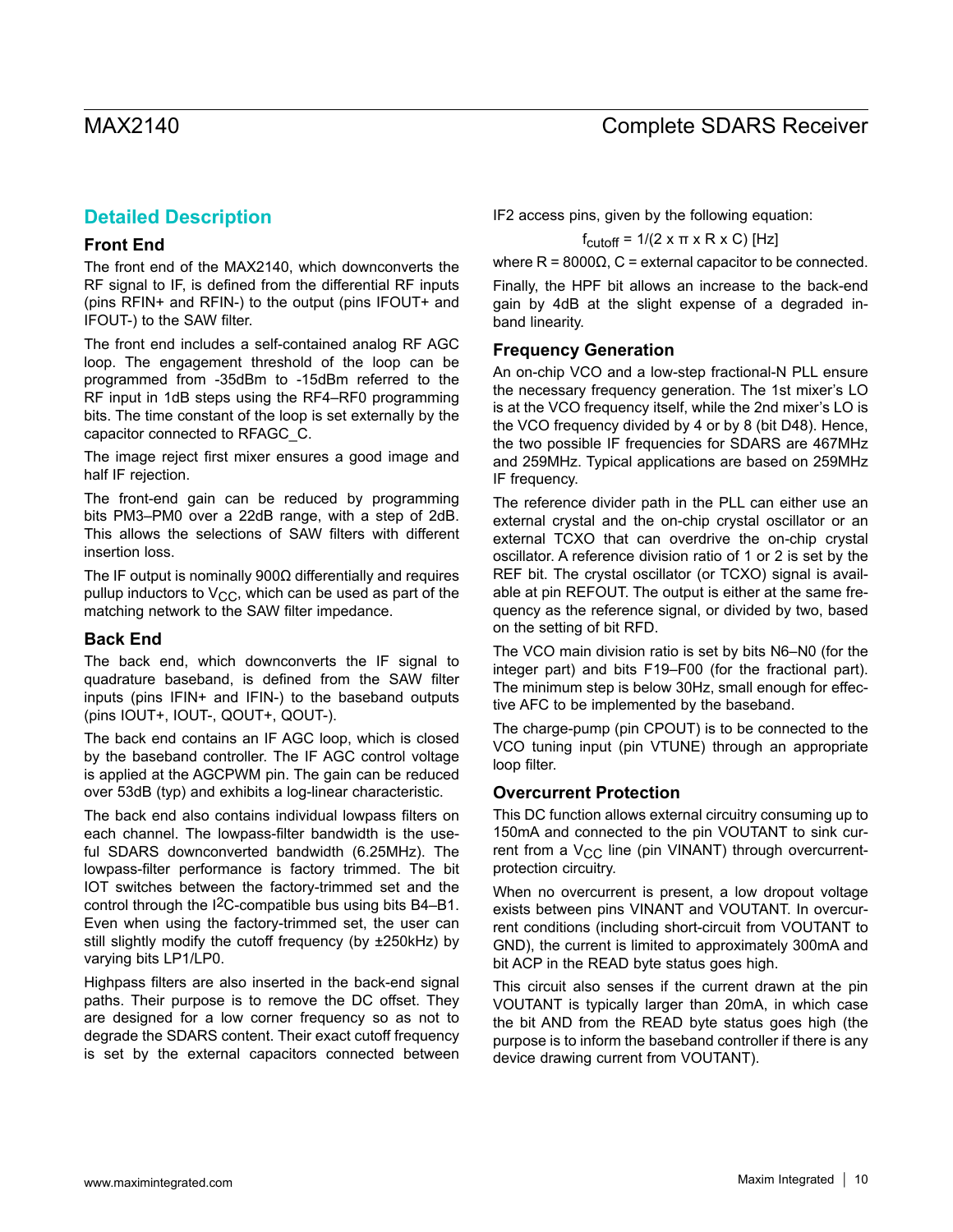# **Detailed Description**

### **Front End**

The front end of the MAX2140, which downconverts the RF signal to IF, is defined from the differential RF inputs (pins RFIN+ and RFIN-) to the output (pins IFOUT+ and IFOUT-) to the SAW filter.

The front end includes a self-contained analog RF AGC loop. The engagement threshold of the loop can be programmed from -35dBm to -15dBm referred to the RF input in 1dB steps using the RF4–RF0 programming bits. The time constant of the loop is set externally by the capacitor connected to RFAGC\_C.

The image reject first mixer ensures a good image and half IF rejection.

The front-end gain can be reduced by programming bits PM3–PM0 over a 22dB range, with a step of 2dB. This allows the selections of SAW filters with different insertion loss.

The IF output is nominally 900Ω differentially and requires pullup inductors to  $V_{CC}$ , which can be used as part of the matching network to the SAW filter impedance.

#### **Back End**

The back end, which downconverts the IF signal to quadrature baseband, is defined from the SAW filter inputs (pins IFIN+ and IFIN-) to the baseband outputs (pins IOUT+, IOUT-, QOUT+, QOUT-).

The back end contains an IF AGC loop, which is closed by the baseband controller. The IF AGC control voltage is applied at the AGCPWM pin. The gain can be reduced over 53dB (typ) and exhibits a log-linear characteristic.

The back end also contains individual lowpass filters on each channel. The lowpass-filter bandwidth is the useful SDARS downconverted bandwidth (6.25MHz). The lowpass-filter performance is factory trimmed. The bit IOT switches between the factory-trimmed set and the control through the I2C-compatible bus using bits B4–B1. Even when using the factory-trimmed set, the user can still slightly modify the cutoff frequency (by ±250kHz) by varying bits LP1/LP0.

Highpass filters are also inserted in the back-end signal paths. Their purpose is to remove the DC offset. They are designed for a low corner frequency so as not to degrade the SDARS content. Their exact cutoff frequency is set by the external capacitors connected between IF2 access pins, given by the following equation:

$$
f_{\text{cutoff}} = 1/(2 \times \pi \times R \times C) \text{ [Hz]}
$$

where R =  $8000Ω$ , C = external capacitor to be connected.

Finally, the HPF bit allows an increase to the back-end gain by 4dB at the slight expense of a degraded inband linearity.

### **Frequency Generation**

An on-chip VCO and a low-step fractional-N PLL ensure the necessary frequency generation. The 1st mixer's LO is at the VCO frequency itself, while the 2nd mixer's LO is the VCO frequency divided by 4 or by 8 (bit D48). Hence, the two possible IF frequencies for SDARS are 467MHz and 259MHz. Typical applications are based on 259MHz IF frequency.

The reference divider path in the PLL can either use an external crystal and the on-chip crystal oscillator or an external TCXO that can overdrive the on-chip crystal oscillator. A reference division ratio of 1 or 2 is set by the REF bit. The crystal oscillator (or TCXO) signal is available at pin REFOUT. The output is either at the same frequency as the reference signal, or divided by two, based on the setting of bit RFD.

The VCO main division ratio is set by bits N6–N0 (for the integer part) and bits F19–F00 (for the fractional part). The minimum step is below 30Hz, small enough for effective AFC to be implemented by the baseband.

The charge-pump (pin CPOUT) is to be connected to the VCO tuning input (pin VTUNE) through an appropriate loop filter.

#### **Overcurrent Protection**

This DC function allows external circuitry consuming up to 150mA and connected to the pin VOUTANT to sink current from a  $V_{CC}$  line (pin VINANT) through overcurrentprotection circuitry.

When no overcurrent is present, a low dropout voltage exists between pins VINANT and VOUTANT. In overcurrent conditions (including short-circuit from VOUTANT to GND), the current is limited to approximately 300mA and bit ACP in the READ byte status goes high.

This circuit also senses if the current drawn at the pin VOUTANT is typically larger than 20mA, in which case the bit AND from the READ byte status goes high (the purpose is to inform the baseband controller if there is any device drawing current from VOUTANT).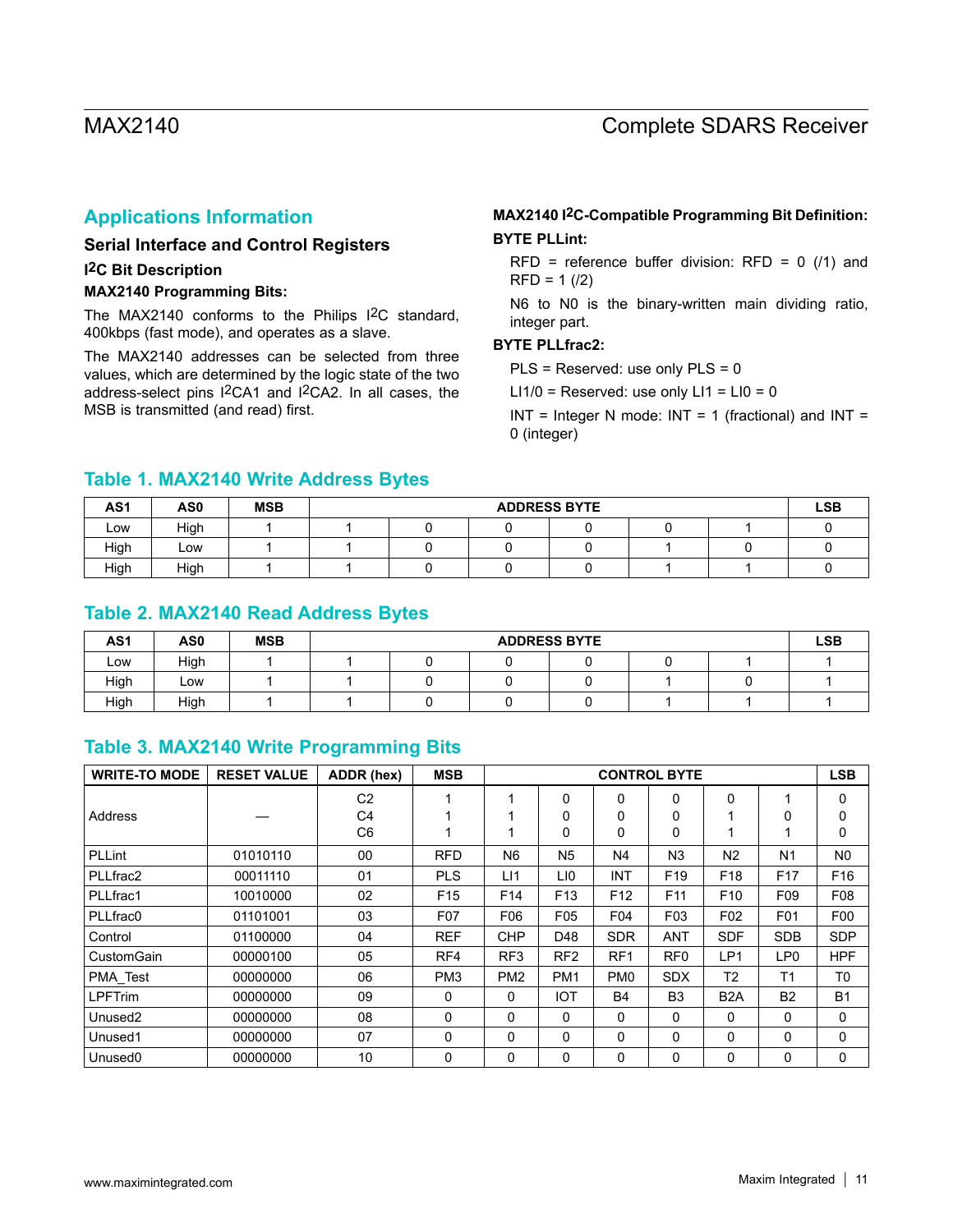## **Applications Information**

### **Serial Interface and Control Registers**

#### **I2C Bit Description**

#### **MAX2140 Programming Bits:**

The MAX2140 conforms to the Philips I2C standard, 400kbps (fast mode), and operates as a slave.

The MAX2140 addresses can be selected from three values, which are determined by the logic state of the two address-select pins I2CA1 and I2CA2. In all cases, the MSB is transmitted (and read) first.

### **MAX2140 I2C-Compatible Programming Bit Definition: BYTE PLLint:**

RFD = reference buffer division:  $RFD = 0$  (/1) and  $RFD = 1$  (/2)

N6 to N0 is the binary-written main dividing ratio, integer part.

#### **BYTE PLLfrac2:**

PLS = Reserved: use only PLS = 0

LI1/0 = Reserved: use only  $LI1 = LI0 = 0$ 

 $INT = Integer N mode: INT = 1 (fractional) and INT =$ 0 (integer)

## **Table 1. MAX2140 Write Address Bytes**

| AS <sub>1</sub> | AS <sub>0</sub> | <b>MSB</b> | <b>ADDRESS BYTE</b> |  |  |  |  |  |  |  |  |  |
|-----------------|-----------------|------------|---------------------|--|--|--|--|--|--|--|--|--|
| Low             | High            |            |                     |  |  |  |  |  |  |  |  |  |
| High            | Low             |            |                     |  |  |  |  |  |  |  |  |  |
| High            | High            |            |                     |  |  |  |  |  |  |  |  |  |

### **Table 2. MAX2140 Read Address Bytes**

| AS <sub>1</sub> | AS <sub>0</sub> | <b>MSB</b> | <b>ADDRESS BYTE</b> |  |  |  |  |  |  |  |
|-----------------|-----------------|------------|---------------------|--|--|--|--|--|--|--|
| LOW             | High            |            |                     |  |  |  |  |  |  |  |
| High            | LOW             |            |                     |  |  |  |  |  |  |  |
| High            | High            |            |                     |  |  |  |  |  |  |  |

### **Table 3. MAX2140 Write Programming Bits**

| <b>WRITE-TO MODE</b> | <b>RESET VALUE</b> | ADDR (hex)     | <b>MSB</b>      |                 |                 |                 | <b>CONTROL BYTE</b> |                  |                 | <b>LSB</b>      |
|----------------------|--------------------|----------------|-----------------|-----------------|-----------------|-----------------|---------------------|------------------|-----------------|-----------------|
|                      |                    | C <sub>2</sub> | 1               | 4               | $\Omega$        | $\Omega$        | $\Omega$            | $\Omega$         |                 | 0               |
| Address              |                    | C <sub>4</sub> |                 |                 | $\mathbf{0}$    | 0               | 0                   |                  | 0               | 0               |
|                      |                    | C <sub>6</sub> |                 |                 | $\mathbf{0}$    | 0               | 0                   | 1                |                 | 0               |
| PLLint               | 01010110           | 00             | <b>RFD</b>      | N <sub>6</sub>  | N <sub>5</sub>  | N4              | N3                  | N <sub>2</sub>   | N <sub>1</sub>  | N <sub>0</sub>  |
| PLLfrac2             | 00011110           | 01             | <b>PLS</b>      | L11             | LI0             | <b>INT</b>      | F <sub>19</sub>     | F <sub>18</sub>  | F <sub>17</sub> | F <sub>16</sub> |
| PLLfrac1             | 10010000           | 02             | F <sub>15</sub> | F <sub>14</sub> | F <sub>13</sub> | F <sub>12</sub> | F11                 | F <sub>10</sub>  | F <sub>09</sub> | F08             |
| PLLfrac0             | 01101001           | 03             | F07             | F06             | F05             | F04             | F <sub>03</sub>     | F <sub>02</sub>  | F01             | F <sub>0</sub>  |
| Control              | 01100000           | 04             | <b>REF</b>      | <b>CHP</b>      | D48             | <b>SDR</b>      | <b>ANT</b>          | <b>SDF</b>       | <b>SDB</b>      | <b>SDP</b>      |
| CustomGain           | 00000100           | 05             | RF4             | RF <sub>3</sub> | RF <sub>2</sub> | RF <sub>1</sub> | RF <sub>0</sub>     | LP <sub>1</sub>  | LP <sub>0</sub> | <b>HPF</b>      |
| PMA_Test             | 00000000           | 06             | PM <sub>3</sub> | PM <sub>2</sub> | PM <sub>1</sub> | PM0             | <b>SDX</b>          | T <sub>2</sub>   | T <sub>1</sub>  | T <sub>0</sub>  |
| <b>LPFTrim</b>       | 00000000           | 09             | 0               | $\mathbf{0}$    | <b>IOT</b>      | <b>B4</b>       | B <sub>3</sub>      | B <sub>2</sub> A | <b>B2</b>       | <b>B1</b>       |
| Unused <sub>2</sub>  | 00000000           | 08             | 0               | 0               | $\mathbf{0}$    | $\mathbf{0}$    | $\mathbf{0}$        | 0                | $\mathbf{0}$    | 0               |
| Unused1              | 00000000           | 07             | 0               | 0               | $\Omega$        | 0               | 0                   | 0                | 0               | 0               |
| Unused <sub>0</sub>  | 00000000           | 10             | 0               | 0               | $\mathbf{0}$    | 0               | 0                   | 0                | 0               | 0               |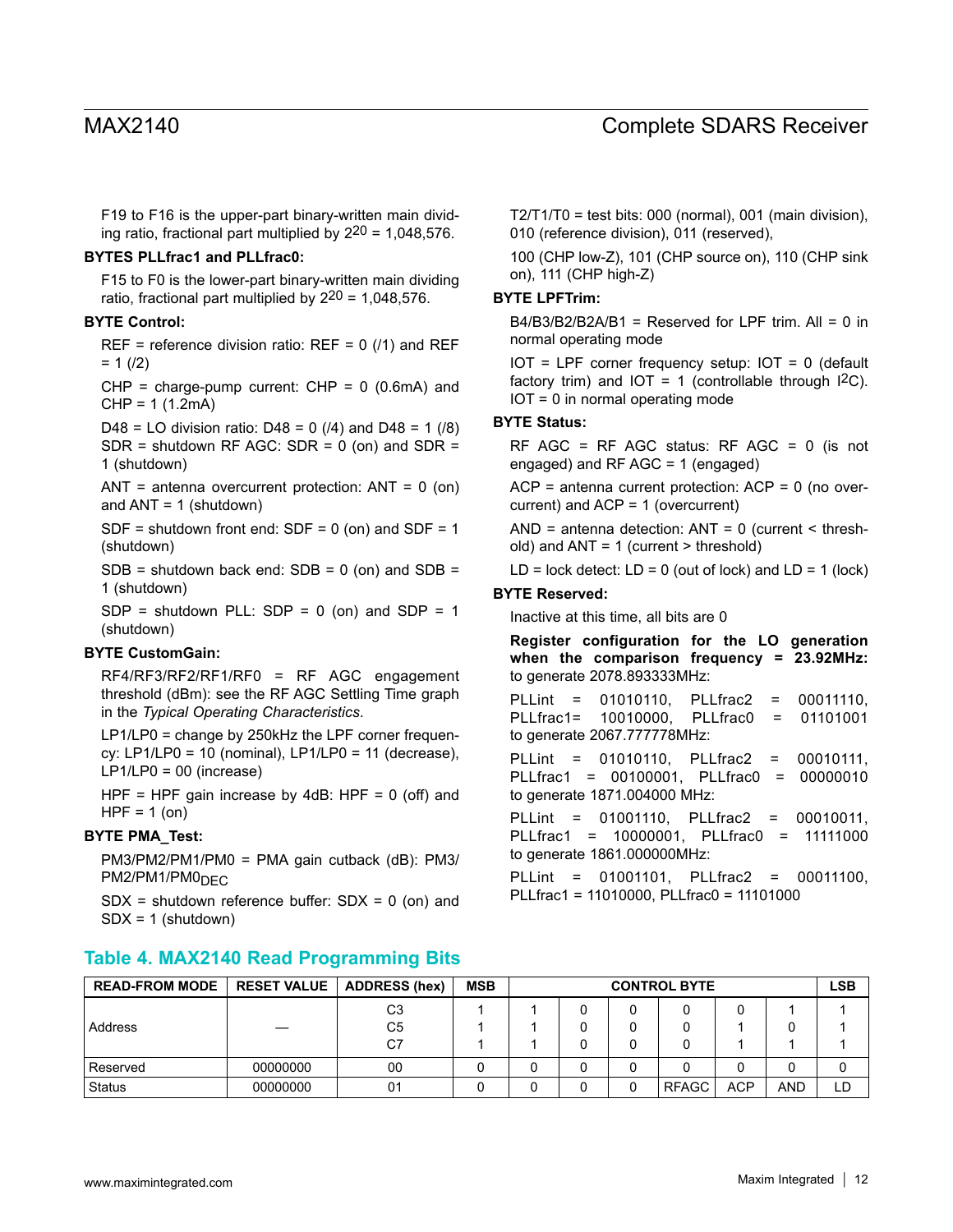F19 to F16 is the upper-part binary-written main dividing ratio, fractional part multiplied by  $2^{20}$  = 1,048,576.

#### **BYTES PLLfrac1 and PLLfrac0:**

F15 to F0 is the lower-part binary-written main dividing ratio, fractional part multiplied by  $2^{20} = 1,048,576$ .

#### **BYTE Control:**

REF = reference division ratio:  $REF = 0$  (/1) and REF  $= 1 \ (2)$ 

 $CHP = charge-pump current: CHP = 0 (0.6mA) and$ CHP = 1 (1.2mA)

D48 = LO division ratio: D48 = 0  $(14)$  and D48 = 1  $(18)$  $SDR =$  shutdown RF AGC:  $SDR = 0$  (on) and  $SDR =$ 1 (shutdown)

ANT = antenna overcurrent protection:  $ANT = 0$  (on) and  $ANT = 1$  (shutdown)

 $SDF =$  shutdown front end:  $SDF = 0$  (on) and  $SDF = 1$ (shutdown)

 $SDB =$  shutdown back end:  $SDB = 0$  (on) and  $SDB =$ 1 (shutdown)

 $SDP =$  shutdown PLL:  $SDP = 0$  (on) and  $SDP = 1$ (shutdown)

#### **BYTE CustomGain:**

RF4/RF3/RF2/RF1/RF0 = RF AGC engagement threshold (dBm): see the RF AGC Settling Time graph in the *Typical Operating Characteristics*.

LP1/LP0 = change by 250kHz the LPF corner frequency: LP1/LP0 = 10 (nominal), LP1/LP0 = 11 (decrease), LP1/LP0 = 00 (increase)

HPF = HPF gain increase by 4dB: HPF =  $0$  (off) and  $HPF = 1$  (on)

#### **BYTE PMA\_Test:**

PM3/PM2/PM1/PM0 = PMA gain cutback (dB): PM3/  $PM2/PM1/PM0_{\text{DFC}}$ 

 $SDX =$  shutdown reference buffer:  $SDX = 0$  (on) and SDX = 1 (shutdown)

 $T2/T1/T0 = \text{test bits: } 000 \text{ (normal), } 001 \text{ (main division)},$ 010 (reference division), 011 (reserved),

100 (CHP low-Z), 101 (CHP source on), 110 (CHP sink on), 111 (CHP high-Z)

#### **BYTE LPFTrim:**

B4/B3/B2/B2A/B1 = Reserved for LPF trim. All = 0 in normal operating mode

 $IOT = LPF$  corner frequency setup:  $IOT = 0$  (default factory trim) and IOT = 1 (controllable through  $12C$ ). IOT = 0 in normal operating mode

#### **BYTE Status:**

RF AGC = RF AGC status: RF AGC = 0 (is not engaged) and RF AGC = 1 (engaged)

ACP = antenna current protection: ACP = 0 (no overcurrent) and ACP = 1 (overcurrent)

AND = antenna detection:  $ANT = 0$  (current < threshold) and ANT = 1 (current > threshold)

LD = lock detect:  $LD = 0$  (out of lock) and  $LD = 1$  (lock)

#### **BYTE Reserved:**

Inactive at this time, all bits are 0

**Register configuration for the LO generation when the comparison frequency = 23.92MHz:** to generate 2078.893333MHz: PLLint = 01010110, PLLfrac2 = 00011110, PLLfrac1= 10010000, PLLfrac0 = 01101001 to generate 2067.777778MHz: PLLint = 01010110, PLLfrac2 = 00010111,

PLLfrac1 = 00100001, PLLfrac0 = 00000010 to generate 1871.004000 MHz:

PLLint = 01001110, PLLfrac2 = 00010011, PLLfrac1 = 10000001, PLLfrac0 = 11111000 to generate 1861.000000MHz:

PLLint = 01001101, PLLfrac2 = 00011100, PLLfrac1 = 11010000, PLLfrac0 = 11101000

| <b>READ-FROM MODE</b> | <b>RESET VALUE</b> | <b>ADDRESS</b> (hex) | <b>MSB</b> | <b>CONTROL BYTE</b><br><b>LSB</b> |  |   |              |            |            |     |
|-----------------------|--------------------|----------------------|------------|-----------------------------------|--|---|--------------|------------|------------|-----|
|                       |                    | C <sub>3</sub>       |            |                                   |  |   |              |            |            |     |
| Address               |                    | C5                   |            |                                   |  |   |              |            |            |     |
|                       |                    | C7                   |            |                                   |  |   |              |            |            |     |
| l Reserved            | 00000000           | 00                   |            |                                   |  |   |              |            |            |     |
| Status                | 00000000           | 01                   |            |                                   |  | 0 | <b>RFAGC</b> | <b>ACP</b> | <b>AND</b> | ъD. |

**Table 4. MAX2140 Read Programming Bits**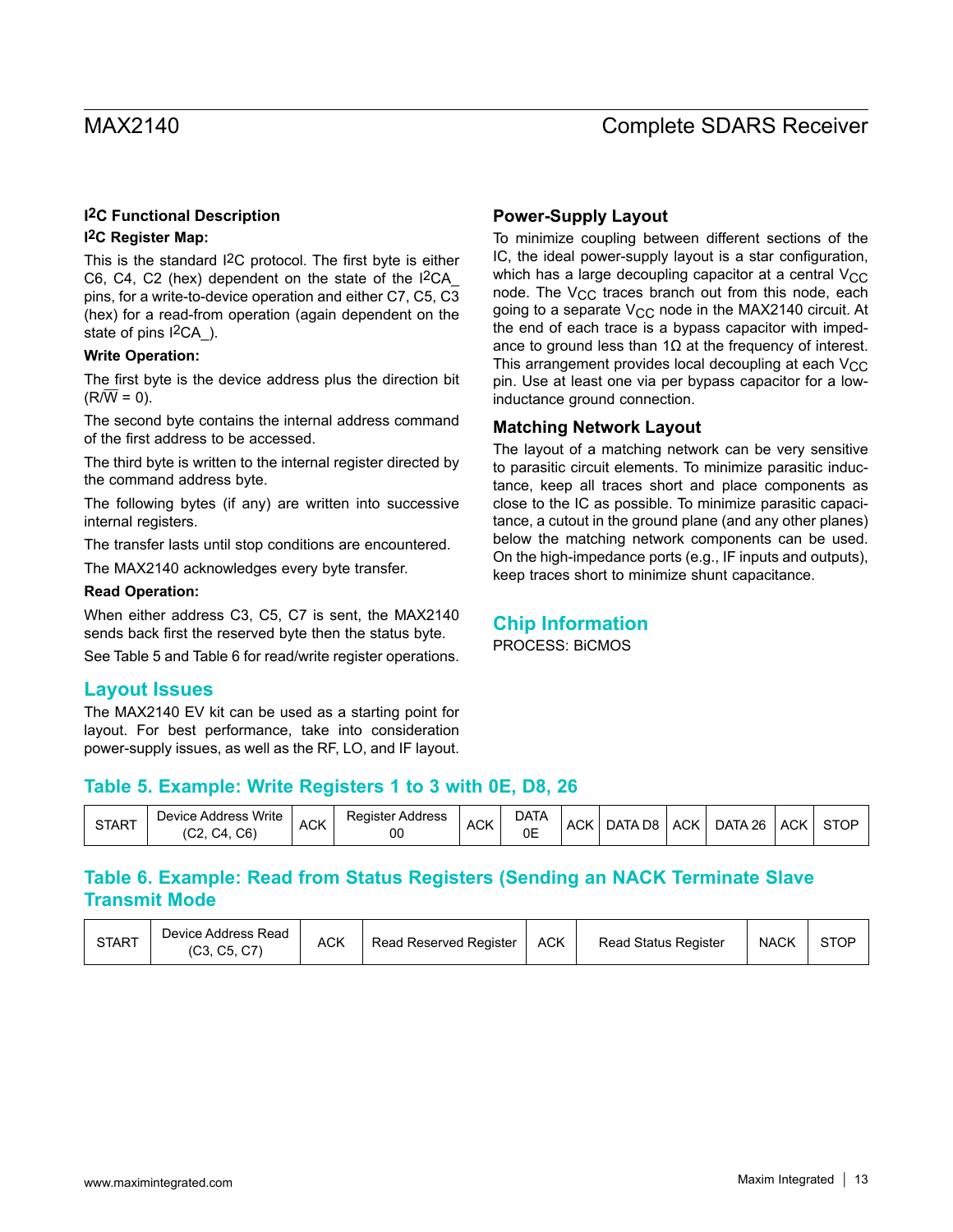### **I2C Functional Description**

### **I2C Register Map:**

This is the standard I2C protocol. The first byte is either C6, C4, C2 (hex) dependent on the state of the I2CA\_ pins, for a write-to-device operation and either C7, C5, C3 (hex) for a read-from operation (again dependent on the state of pins  $1^2CA$ ).

### **Write Operation:**

The first byte is the device address plus the direction bit  $(R/W = 0)$ .

The second byte contains the internal address command of the first address to be accessed.

The third byte is written to the internal register directed by the command address byte.

The following bytes (if any) are written into successive internal registers.

The transfer lasts until stop conditions are encountered.

The MAX2140 acknowledges every byte transfer.

#### **Read Operation:**

When either address C3, C5, C7 is sent, the MAX2140 sends back first the reserved byte then the status byte.

See Table 5 and Table 6 for read/write register operations.

### **Layout Issues**

The MAX2140 EV kit can be used as a starting point for layout. For best performance, take into consideration power-supply issues, as well as the RF, LO, and IF layout.

### **Power-Supply Layout**

To minimize coupling between different sections of the IC, the ideal power-supply layout is a star configuration, which has a large decoupling capacitor at a central  $V_{CC}$ node. The V<sub>CC</sub> traces branch out from this node, each going to a separate  $V_{CC}$  node in the MAX2140 circuit. At the end of each trace is a bypass capacitor with impedance to ground less than  $1\Omega$  at the frequency of interest. This arrangement provides local decoupling at each  $V_{CC}$ pin. Use at least one via per bypass capacitor for a lowinductance ground connection.

### **Matching Network Layout**

The layout of a matching network can be very sensitive to parasitic circuit elements. To minimize parasitic inductance, keep all traces short and place components as close to the IC as possible. To minimize parasitic capacitance, a cutout in the ground plane (and any other planes) below the matching network components can be used. On the high-impedance ports (e.g., IF inputs and outputs), keep traces short to minimize shunt capacitance.

# **Chip Information**

PROCESS: BiCMOS

# **Table 5. Example: Write Registers 1 to 3 with 0E, D8, 26**

| <b>START</b> | Device Address Write<br>C6`<br>UZ. | <b>ACK</b> | Register Address<br>00 | $\sim$<br>' ACK | DATA<br>0E | <b>ACK</b> | DATA D8 | <b>ACK</b> | DATA 26 | <b>ACK</b> | <b>STOP</b> |
|--------------|------------------------------------|------------|------------------------|-----------------|------------|------------|---------|------------|---------|------------|-------------|
|--------------|------------------------------------|------------|------------------------|-----------------|------------|------------|---------|------------|---------|------------|-------------|

# **Table 6. Example: Read from Status Registers (Sending an NACK Terminate Slave Transmit Mode**

| <b>START</b> | Device Address Read<br>(C3, C5, C7) | <b>ACK</b> | Read Reserved Register | <b>ACK</b> | <b>Read Status Register</b> | <b>NACK</b> | STOF |
|--------------|-------------------------------------|------------|------------------------|------------|-----------------------------|-------------|------|
|--------------|-------------------------------------|------------|------------------------|------------|-----------------------------|-------------|------|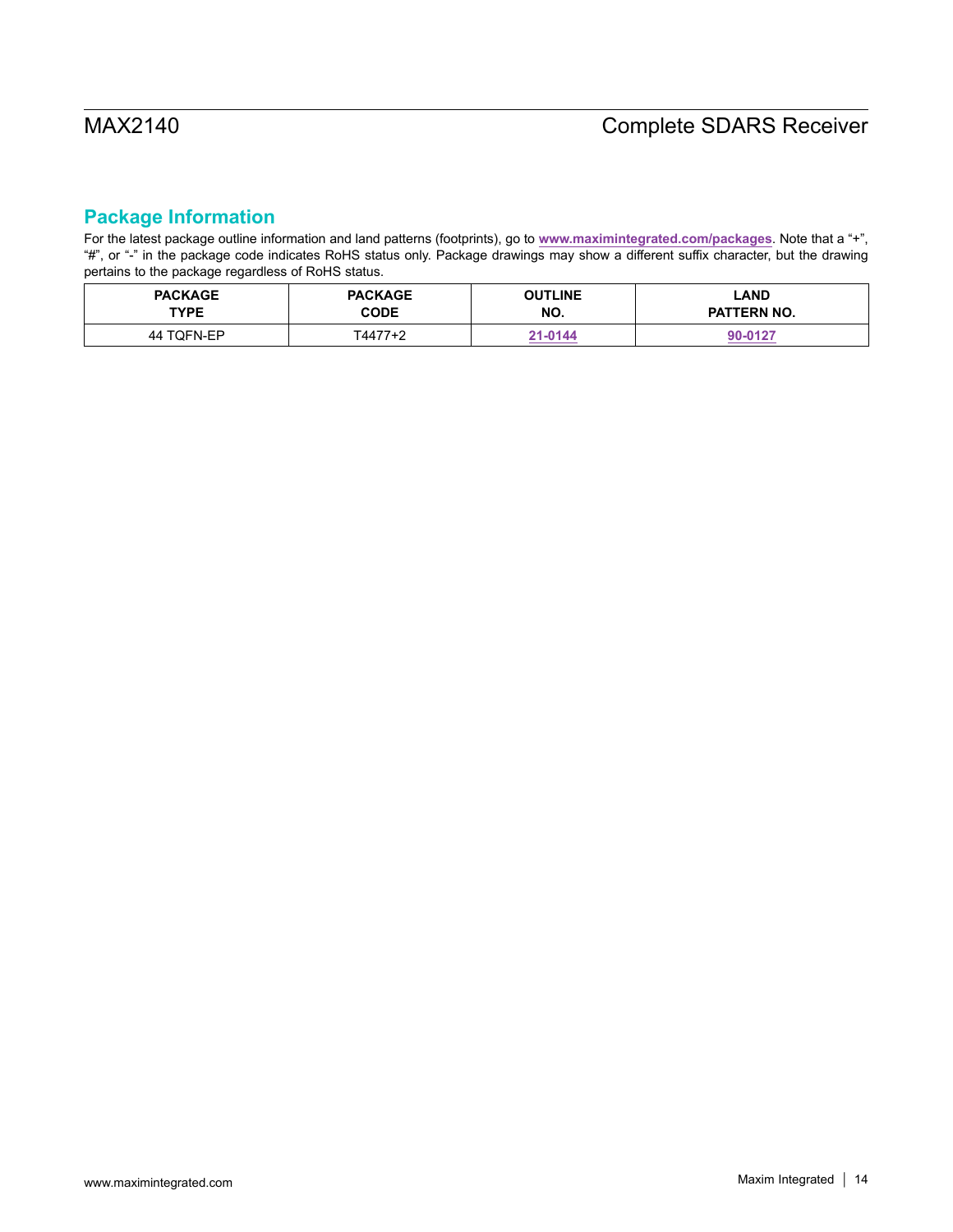# **Package Information**

For the latest package outline information and land patterns (footprints), go to **[www.maximintegrated.com/packages](http://www.maximintegrated.com/packages)**. Note that a "+", "#", or "-" in the package code indicates RoHS status only. Package drawings may show a different suffix character, but the drawing pertains to the package regardless of RoHS status.

| <b>PACKAGE</b> | <b>PACKAGE</b> | <b>OUTLINE</b> | LAND               |
|----------------|----------------|----------------|--------------------|
| <b>TYPE</b>    | <b>CODE</b>    | NO.            | <b>PATTERN NO.</b> |
| 44 TQFN-EP     | T4477+2        | 21-0144        | 90-0127            |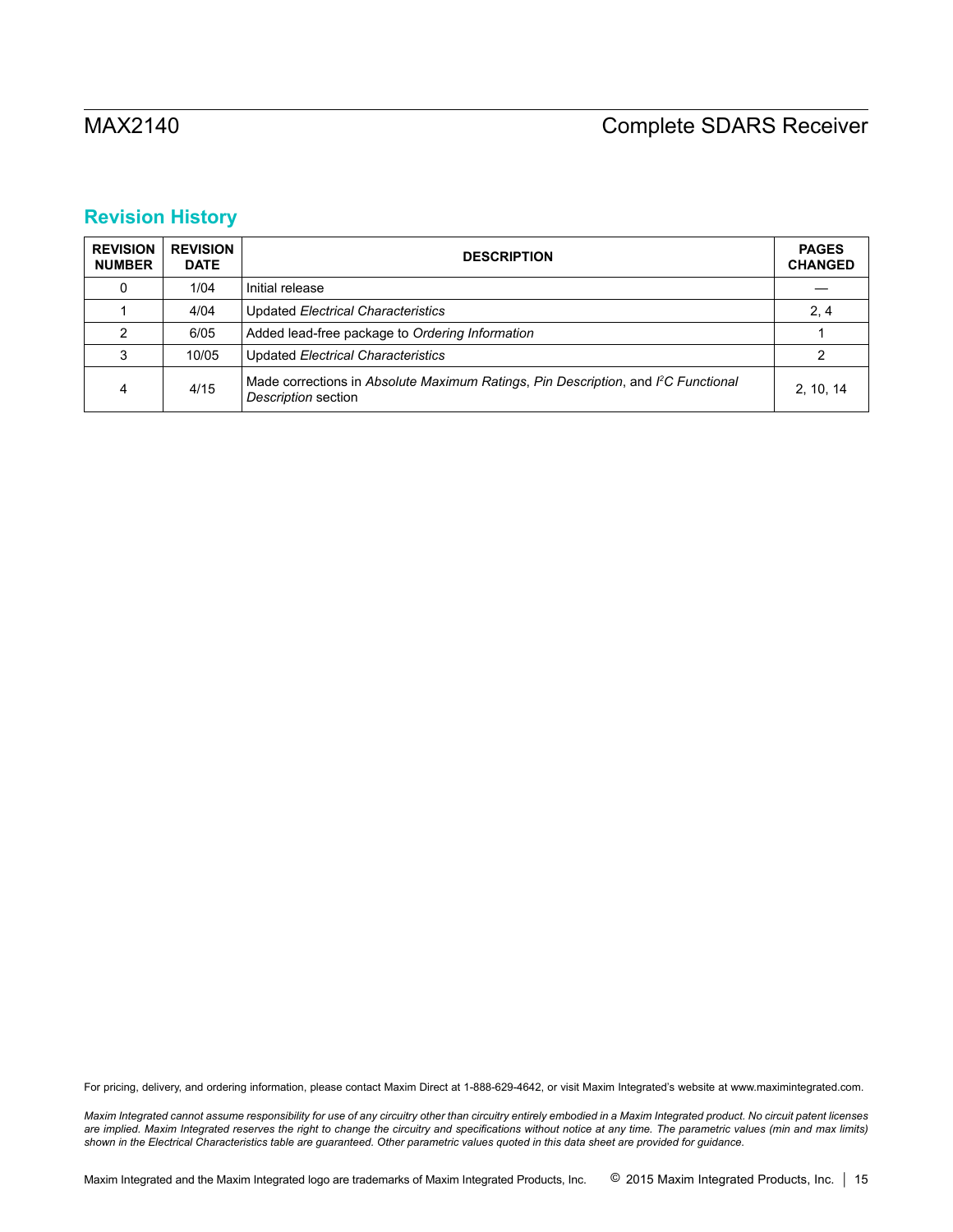# **Revision History**

| <b>REVISION</b><br><b>NUMBER</b> | <b>REVISION</b><br><b>DATE</b> | <b>DESCRIPTION</b>                                                                                                    | <b>PAGES</b><br><b>CHANGED</b> |
|----------------------------------|--------------------------------|-----------------------------------------------------------------------------------------------------------------------|--------------------------------|
| 0                                | 1/04                           | Initial release                                                                                                       |                                |
|                                  | 4/04                           | Updated Electrical Characteristics                                                                                    | 2, 4                           |
|                                  | 6/05                           | Added lead-free package to Ordering Information                                                                       |                                |
| 3                                | 10/05                          | Updated Electrical Characteristics                                                                                    |                                |
| 4                                | 4/15                           | Made corrections in Absolute Maximum Ratings, Pin Description, and I <sup>2</sup> C Functional<br>Description section | 2.10.14                        |

For pricing, delivery, and ordering information, please contact Maxim Direct at 1-888-629-4642, or visit Maxim Integrated's website at www.maximintegrated.com.

*Maxim Integrated cannot assume responsibility for use of any circuitry other than circuitry entirely embodied in a Maxim Integrated product. No circuit patent licenses*  are implied. Maxim Integrated reserves the right to change the circuitry and specifications without notice at any time. The parametric values (min and max limits) *shown in the Electrical Characteristics table are guaranteed. Other parametric values quoted in this data sheet are provided for guidance.*